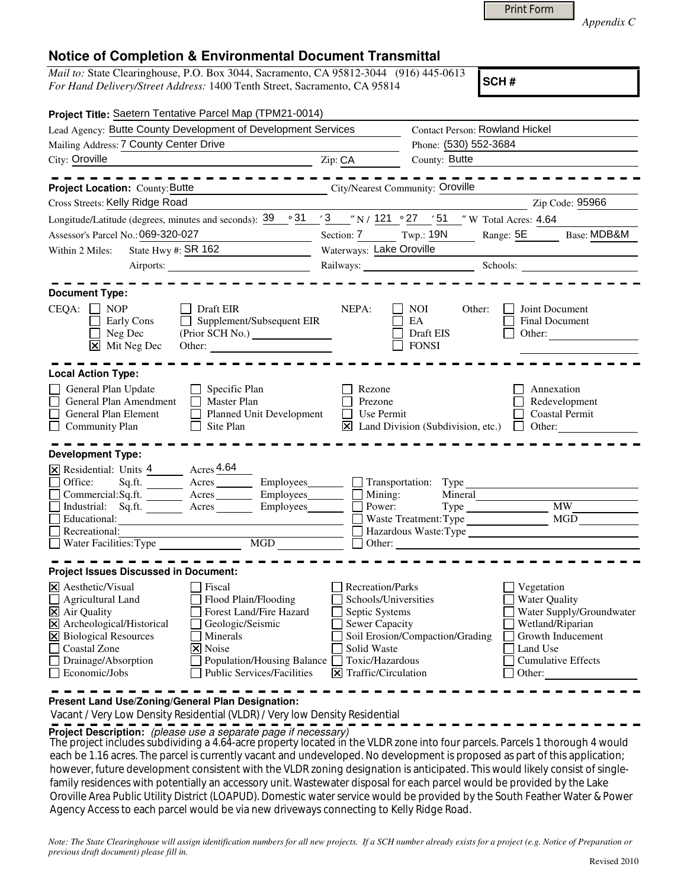|  | Print Form |
|--|------------|
|  |            |

*Appendix C* 

## **Notice of Completion & Environmental Document Transmittal**

*Mail to:* State Clearinghouse, P.O. Box 3044, Sacramento, CA 95812-3044 (916) 445-0613 *For Hand Delivery/Street Address:* 1400 Tenth Street, Sacramento, CA 95814

**SCH #**

| Project Title: Saetern Tentative Parcel Map (TPM21-0014)                                                  |                                                         |                                                                                                                                                                                                                                                                                                                                                                                                                                                                                                                                                                                                                                                           |
|-----------------------------------------------------------------------------------------------------------|---------------------------------------------------------|-----------------------------------------------------------------------------------------------------------------------------------------------------------------------------------------------------------------------------------------------------------------------------------------------------------------------------------------------------------------------------------------------------------------------------------------------------------------------------------------------------------------------------------------------------------------------------------------------------------------------------------------------------------|
| Lead Agency: Butte County Development of Development Services                                             |                                                         |                                                                                                                                                                                                                                                                                                                                                                                                                                                                                                                                                                                                                                                           |
|                                                                                                           | Phone: (530) 552-3684                                   |                                                                                                                                                                                                                                                                                                                                                                                                                                                                                                                                                                                                                                                           |
|                                                                                                           | County: Butte                                           |                                                                                                                                                                                                                                                                                                                                                                                                                                                                                                                                                                                                                                                           |
|                                                                                                           |                                                         |                                                                                                                                                                                                                                                                                                                                                                                                                                                                                                                                                                                                                                                           |
|                                                                                                           |                                                         | Zip Code: 95966                                                                                                                                                                                                                                                                                                                                                                                                                                                                                                                                                                                                                                           |
|                                                                                                           |                                                         |                                                                                                                                                                                                                                                                                                                                                                                                                                                                                                                                                                                                                                                           |
|                                                                                                           | Range: $5E$                                             | Base: MDB&M                                                                                                                                                                                                                                                                                                                                                                                                                                                                                                                                                                                                                                               |
| <u> 1989 - Andrea Station Books, amerikansk politiker (</u>                                               |                                                         |                                                                                                                                                                                                                                                                                                                                                                                                                                                                                                                                                                                                                                                           |
|                                                                                                           |                                                         |                                                                                                                                                                                                                                                                                                                                                                                                                                                                                                                                                                                                                                                           |
| NEPA:<br>$\Box$ Supplement/Subsequent EIR<br>Other:                                                       | <b>NOI</b><br>Other:<br>EA<br>Draft EIS<br><b>FONSI</b> | Joint Document<br><b>Final Document</b><br>Other:                                                                                                                                                                                                                                                                                                                                                                                                                                                                                                                                                                                                         |
|                                                                                                           |                                                         |                                                                                                                                                                                                                                                                                                                                                                                                                                                                                                                                                                                                                                                           |
| Rezone<br>Prezone<br>Planned Unit Development<br>Ι×Ι                                                      |                                                         | Annexation<br>Redevelopment<br>Coastal Permit                                                                                                                                                                                                                                                                                                                                                                                                                                                                                                                                                                                                             |
|                                                                                                           |                                                         |                                                                                                                                                                                                                                                                                                                                                                                                                                                                                                                                                                                                                                                           |
|                                                                                                           |                                                         |                                                                                                                                                                                                                                                                                                                                                                                                                                                                                                                                                                                                                                                           |
| Employees_______                                                                                          | Mineral                                                 |                                                                                                                                                                                                                                                                                                                                                                                                                                                                                                                                                                                                                                                           |
| Employees                                                                                                 |                                                         | <b>MW</b>                                                                                                                                                                                                                                                                                                                                                                                                                                                                                                                                                                                                                                                 |
|                                                                                                           |                                                         | MGD                                                                                                                                                                                                                                                                                                                                                                                                                                                                                                                                                                                                                                                       |
|                                                                                                           |                                                         |                                                                                                                                                                                                                                                                                                                                                                                                                                                                                                                                                                                                                                                           |
|                                                                                                           |                                                         |                                                                                                                                                                                                                                                                                                                                                                                                                                                                                                                                                                                                                                                           |
|                                                                                                           |                                                         |                                                                                                                                                                                                                                                                                                                                                                                                                                                                                                                                                                                                                                                           |
| Forest Land/Fire Hazard<br>Solid Waste<br>Population/Housing Balance<br><b>Public Services/Facilities</b> | Other:                                                  | Vegetation<br><b>Water Quality</b><br>Water Supply/Groundwater<br>Wetland/Riparian<br>Growth Inducement<br>Land Use<br><b>Cumulative Effects</b>                                                                                                                                                                                                                                                                                                                                                                                                                                                                                                          |
|                                                                                                           | Zip: CA                                                 | <b>Contact Person: Rowland Hickel</b><br>City/Nearest Community: Oroville<br>Longitude/Latitude (degrees, minutes and seconds): $\frac{39}{9}$ $\frac{31}{7}$ $\frac{3}{8}$ $\frac{3}{7}$ N / $\frac{121}{2}$ $\frac{9}{27}$ $\frac{27}{7}$ $\frac{7}{7}$ W Total Acres: 4.64<br>Section: 7 Twp.: 19N<br>Waterways: Lake Oroville<br>Railways: Schools: Schools:<br>Use Permit<br>Land Division (Subdivision, etc.) $\Box$ Other:<br>Mining:<br>Power:<br>Hazardous Waste: Type<br>Recreation/Parks<br>Schools/Universities<br>Septic Systems<br><b>Sewer Capacity</b><br>Soil Erosion/Compaction/Grading<br>Toxic/Hazardous<br>$\Xi$ Traffic/Circulation |

**Present Land Use/Zoning/General Plan Designation:**

Vacant / Very Low Density Residential (VLDR) / Very low Density Residential

**Project Description:** (please use a separate page if necessary)

The project includes subdividing a 4.64-acre property located in the VLDR zone into four parcels. Parcels 1 thorough 4 would each be 1.16 acres. The parcel is currently vacant and undeveloped. No development is proposed as part of this application; however, future development consistent with the VLDR zoning designation is anticipated. This would likely consist of singlefamily residences with potentially an accessory unit. Wastewater disposal for each parcel would be provided by the Lake Oroville Area Public Utility District (LOAPUD). Domestic water service would be provided by the South Feather Water & Power Agency Access to each parcel would be via new driveways connecting to Kelly Ridge Road.

*Note: The State Clearinghouse will assign identification numbers for all new projects. If a SCH number already exists for a project (e.g. Notice of Preparation or previous draft document) please fill in.*